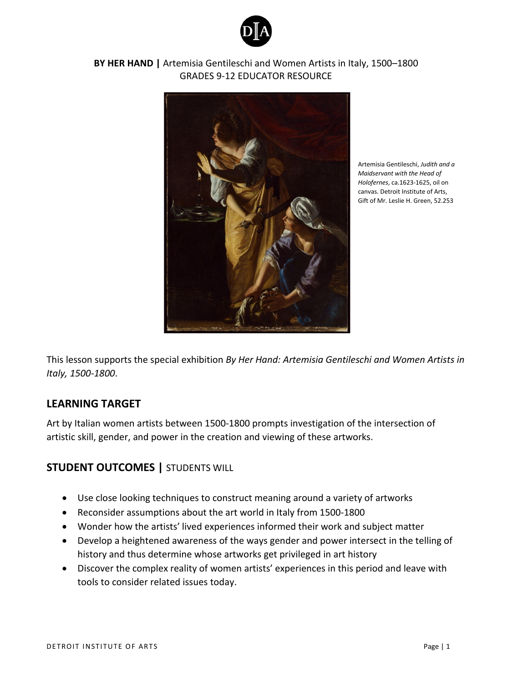



Artemisia Gentileschi, *Judith and a Maidservant with the Head of Holofernes*, ca.1623-1625, oil on canvas. Detroit Institute of Arts, Gift of Mr. Leslie H. Green, 52.253

This lesson supports the special exhibition *By Her Hand: Artemisia Gentileschi and Women Artists in Italy, 1500-1800*.

# **LEARNING TARGET**

Art by Italian women artists between 1500-1800 prompts investigation of the intersection of artistic skill, gender, and power in the creation and viewing of these artworks.

# **STUDENT OUTCOMES |** STUDENTS WILL

- Use close looking techniques to construct meaning around a variety of artworks
- Reconsider assumptions about the art world in Italy from 1500-1800
- Wonder how the artists' lived experiences informed their work and subject matter
- Develop a heightened awareness of the ways gender and power intersect in the telling of history and thus determine whose artworks get privileged in art history
- Discover the complex reality of women artists' experiences in this period and leave with tools to consider related issues today.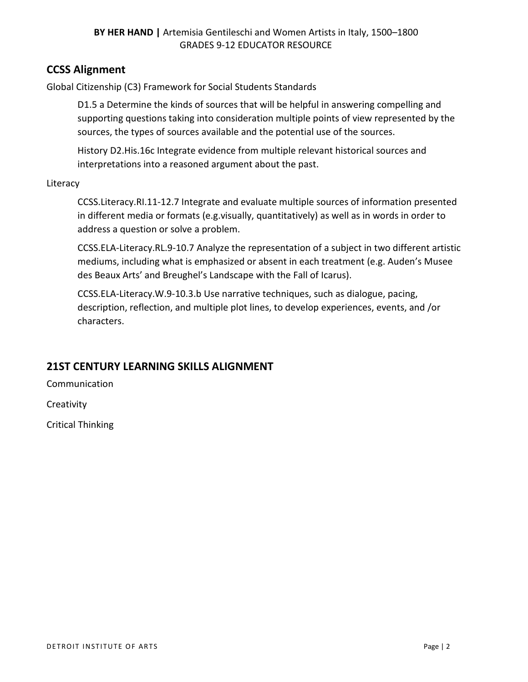# **CCSS Alignment**

Global Citizenship (C3) Framework for Social Students Standards

D1.5 a Determine the kinds of sources that will be helpful in answering compelling and supporting questions taking into consideration multiple points of view represented by the sources, the types of sources available and the potential use of the sources.

History D2.His.16c Integrate evidence from multiple relevant historical sources and interpretations into a reasoned argument about the past.

**Literacy** 

CCSS.Literacy.RI.11-12.7 Integrate and evaluate multiple sources of information presented in different media or formats (e.g.visually, quantitatively) as well as in words in order to address a question or solve a problem.

CCSS.ELA-Literacy.RL.9-10.7 Analyze the representation of a subject in two different artistic mediums, including what is emphasized or absent in each treatment (e.g. Auden's Musee des Beaux Arts' and Breughel's Landscape with the Fall of Icarus).

CCSS.ELA-Literacy.W.9-10.3.b Use narrative techniques, such as dialogue, pacing, description, reflection, and multiple plot lines, to develop experiences, events, and /or characters.

# **21ST CENTURY LEARNING SKILLS ALIGNMENT**

Communication

**Creativity** 

Critical Thinking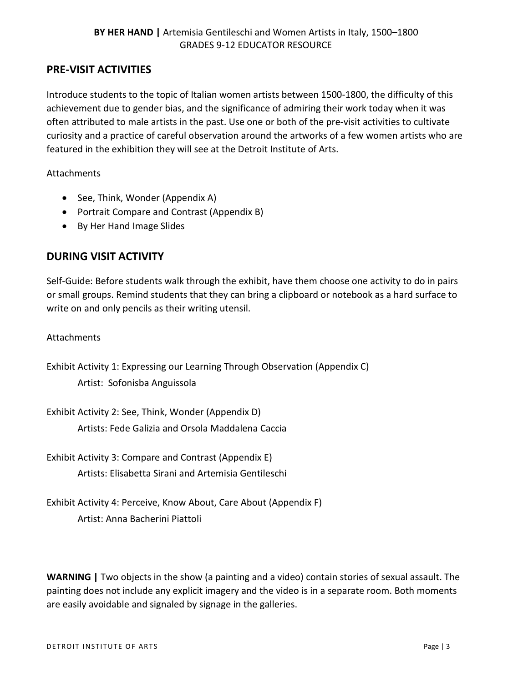# **PRE-VISIT ACTIVITIES**

Introduce students to the topic of Italian women artists between 1500-1800, the difficulty of this achievement due to gender bias, and the significance of admiring their work today when it was often attributed to male artists in the past. Use one or both of the pre-visit activities to cultivate curiosity and a practice of careful observation around the artworks of a few women artists who are featured in the exhibition they will see at the Detroit Institute of Arts.

**Attachments** 

- See, Think, Wonder (Appendix A)
- Portrait Compare and Contrast (Appendix B)
- By Her Hand Image Slides

# **DURING VISIT ACTIVITY**

Self-Guide: Before students walk through the exhibit, have them choose one activity to do in pairs or small groups. Remind students that they can bring a clipboard or notebook as a hard surface to write on and only pencils as their writing utensil.

### Attachments

Exhibit Activity 1: Expressing our Learning Through Observation (Appendix C) Artist: Sofonisba Anguissola

Exhibit Activity 2: See, Think, Wonder (Appendix D) Artists: Fede Galizia and Orsola Maddalena Caccia

Exhibit Activity 3: Compare and Contrast (Appendix E) Artists: Elisabetta Sirani and Artemisia Gentileschi

Exhibit Activity 4: Perceive, Know About, Care About (Appendix F) Artist: Anna Bacherini Piattoli

**WARNING |** Two objects in the show (a painting and a video) contain stories of sexual assault. The painting does not include any explicit imagery and the video is in a separate room. Both moments are easily avoidable and signaled by signage in the galleries.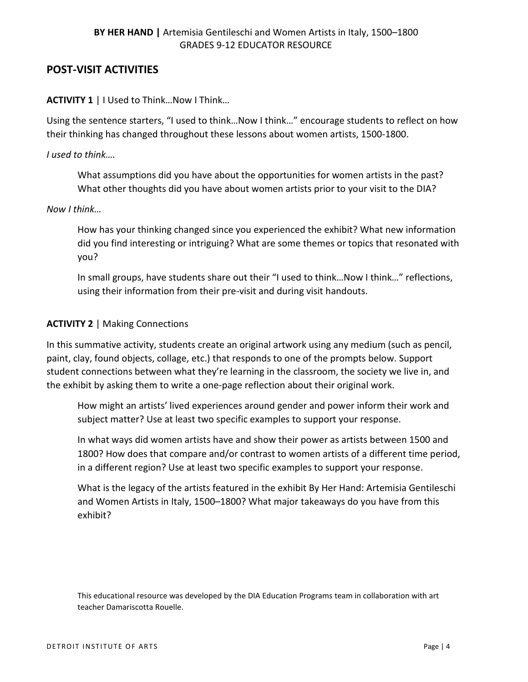# **POST-VISIT ACTIVITIES**

## **ACTIVITY 1 | I Used to Think... Now I Think...**

Using the sentence starters, "I used to think…Now I think…" encourage students to reflect on how their thinking has changed throughout these lessons about women artists, 1500-1800.

### *I used to think….*

What assumptions did you have about the opportunities for women artists in the past? What other thoughts did you have about women artists prior to your visit to the DIA?

#### *Now I think…*

How has your thinking changed since you experienced the exhibit? What new information did you find interesting or intriguing? What are some themes or topics that resonated with you?

In small groups, have students share out their "I used to think…Now I think…" reflections, using their information from their pre-visit and during visit handouts.

### **ACTIVITY 2** | Making Connections

In this summative activity, students create an original artwork using any medium (such as pencil, paint, clay, found objects, collage, etc.) that responds to one of the prompts below. Support student connections between what they're learning in the classroom, the society we live in, and the exhibit by asking them to write a one-page reflection about their original work.

How might an artists' lived experiences around gender and power inform their work and subject matter? Use at least two specific examples to support your response.

In what ways did women artists have and show their power as artists between 1500 and 1800? How does that compare and/or contrast to women artists of a different time period, in a different region? Use at least two specific examples to support your response.

What is the legacy of the artists featured in the exhibit By Her Hand: Artemisia Gentileschi and Women Artists in Italy, 1500–1800? What major takeaways do you have from this exhibit?

This educational resource was developed by the DIA Education Programs team in collaboration with art teacher Damariscotta Rouelle.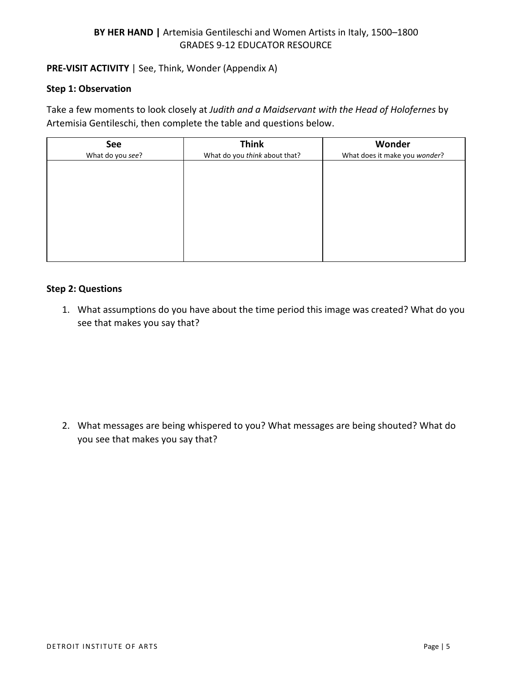## **PRE-VISIT ACTIVITY** | See, Think, Wonder (Appendix A)

#### **Step 1: Observation**

Take a few moments to look closely at *Judith and a Maidservant with the Head of Holofernes* by Artemisia Gentileschi, then complete the table and questions below.

| See              | <b>Think</b>                  | Wonder                        |
|------------------|-------------------------------|-------------------------------|
| What do you see? | What do you think about that? | What does it make you wonder? |
|                  |                               |                               |
|                  |                               |                               |
|                  |                               |                               |
|                  |                               |                               |
|                  |                               |                               |
|                  |                               |                               |
|                  |                               |                               |
|                  |                               |                               |
|                  |                               |                               |
|                  |                               |                               |

#### **Step 2: Questions**

1. What assumptions do you have about the time period this image was created? What do you see that makes you say that?

2. What messages are being whispered to you? What messages are being shouted? What do you see that makes you say that?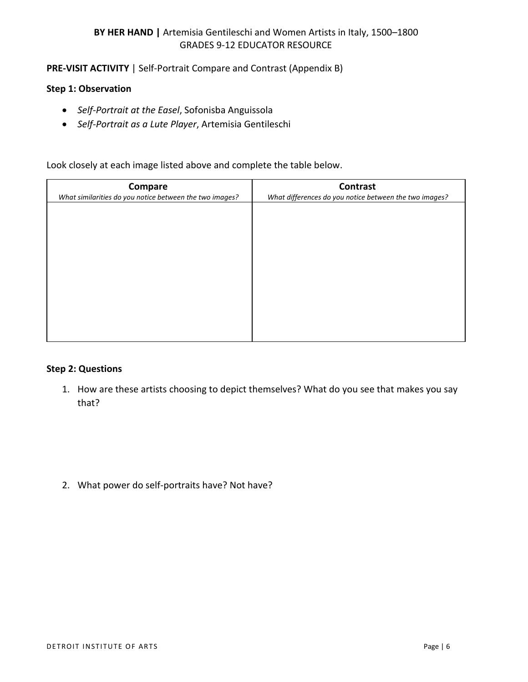**PRE-VISIT ACTIVITY** | Self-Portrait Compare and Contrast (Appendix B)

### **Step 1: Observation**

- *Self-Portrait at the Easel*, Sofonisba Anguissola
- *Self-Portrait as a Lute Player*, Artemisia Gentileschi

Look closely at each image listed above and complete the table below.

| <b>Compare</b><br>What similarities do you notice between the two images? | Contrast<br>What differences do you notice between the two images? |
|---------------------------------------------------------------------------|--------------------------------------------------------------------|
|                                                                           |                                                                    |
|                                                                           |                                                                    |
|                                                                           |                                                                    |
|                                                                           |                                                                    |
|                                                                           |                                                                    |
|                                                                           |                                                                    |
|                                                                           |                                                                    |

#### **Step 2: Questions**

1. How are these artists choosing to depict themselves? What do you see that makes you say that?

2. What power do self-portraits have? Not have?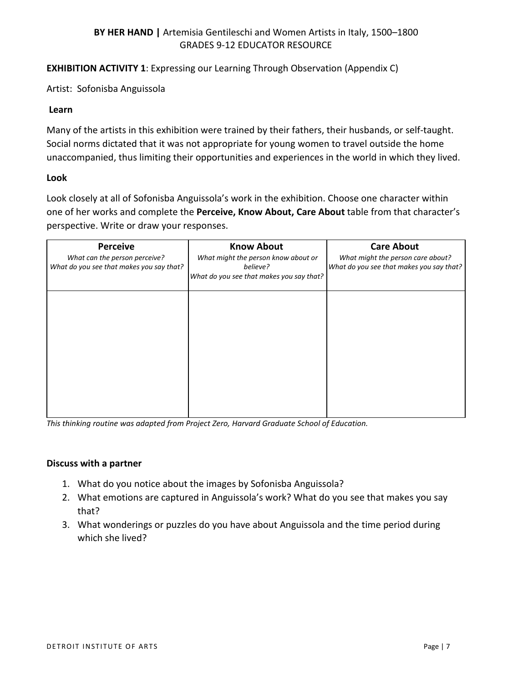**EXHIBITION ACTIVITY 1**: Expressing our Learning Through Observation (Appendix C)

Artist: Sofonisba Anguissola

#### **Learn**

Many of the artists in this exhibition were trained by their fathers, their husbands, or self-taught. Social norms dictated that it was not appropriate for young women to travel outside the home unaccompanied, thus limiting their opportunities and experiences in the world in which they lived.

#### **Look**

Look closely at all of Sofonisba Anguissola's work in the exhibition. Choose one character within one of her works and complete the **Perceive, Know About, Care About** table from that character's perspective. Write or draw your responses.

| <b>Perceive</b><br>What can the person perceive?<br>What do you see that makes you say that? | <b>Know About</b><br>What might the person know about or<br>believe?<br>What do you see that makes you say that? | <b>Care About</b><br>What might the person care about?<br>What do you see that makes you say that? |
|----------------------------------------------------------------------------------------------|------------------------------------------------------------------------------------------------------------------|----------------------------------------------------------------------------------------------------|
|                                                                                              |                                                                                                                  |                                                                                                    |
|                                                                                              |                                                                                                                  |                                                                                                    |

*This thinking routine was adapted from Project Zero, Harvard Graduate School of Education.*

- 1. What do you notice about the images by Sofonisba Anguissola?
- 2. What emotions are captured in Anguissola's work? What do you see that makes you say that?
- 3. What wonderings or puzzles do you have about Anguissola and the time period during which she lived?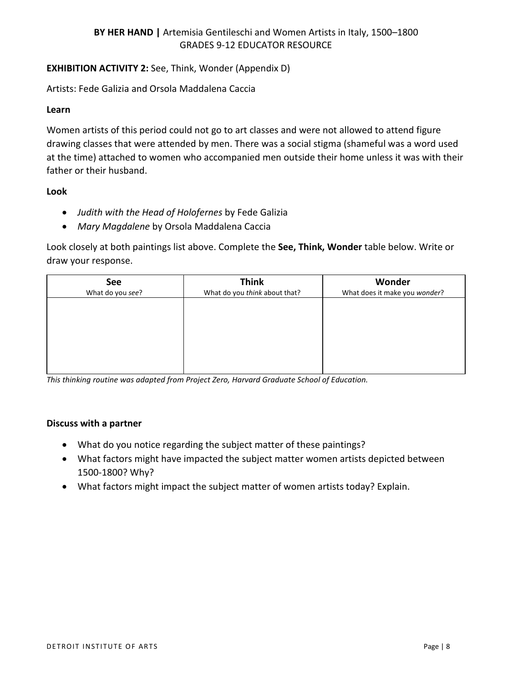# **EXHIBITION ACTIVITY 2:** See, Think, Wonder (Appendix D)

Artists: Fede Galizia and Orsola Maddalena Caccia

#### **Learn**

Women artists of this period could not go to art classes and were not allowed to attend figure drawing classes that were attended by men. There was a social stigma (shameful was a word used at the time) attached to women who accompanied men outside their home unless it was with their father or their husband.

### **Look**

- *Judith with the Head of Holofernes* by Fede Galizia
- *Mary Magdalene* by Orsola Maddalena Caccia

Look closely at both paintings list above. Complete the **See, Think, Wonder** table below. Write or draw your response.

| <b>Think</b>                  | Wonder                        |
|-------------------------------|-------------------------------|
| What do you think about that? | What does it make you wonder? |
|                               |                               |
|                               |                               |
|                               |                               |
|                               |                               |
|                               |                               |
|                               |                               |
|                               |                               |
|                               |                               |

*This thinking routine was adapted from Project Zero, Harvard Graduate School of Education.*

- What do you notice regarding the subject matter of these paintings?
- What factors might have impacted the subject matter women artists depicted between 1500-1800? Why?
- What factors might impact the subject matter of women artists today? Explain.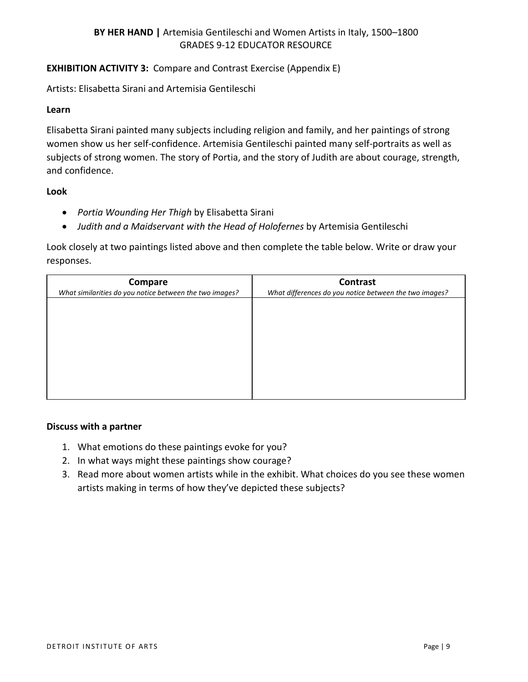# **EXHIBITION ACTIVITY 3:** Compare and Contrast Exercise (Appendix E)

Artists: Elisabetta Sirani and Artemisia Gentileschi

### **Learn**

Elisabetta Sirani painted many subjects including religion and family, and her paintings of strong women show us her self-confidence. Artemisia Gentileschi painted many self-portraits as well as subjects of strong women. The story of Portia, and the story of Judith are about courage, strength, and confidence.

## **Look**

- *Portia Wounding Her Thigh* by Elisabetta Sirani
- *Judith and a Maidservant with the Head of Holofernes* by Artemisia Gentileschi

Look closely at two paintings listed above and then complete the table below. Write or draw your responses.

| Compare                                                 | Contrast                                               |
|---------------------------------------------------------|--------------------------------------------------------|
| What similarities do you notice between the two images? | What differences do you notice between the two images? |
|                                                         |                                                        |
|                                                         |                                                        |
|                                                         |                                                        |
|                                                         |                                                        |
|                                                         |                                                        |
|                                                         |                                                        |
|                                                         |                                                        |
|                                                         |                                                        |
|                                                         |                                                        |

- 1. What emotions do these paintings evoke for you?
- 2. In what ways might these paintings show courage?
- 3. Read more about women artists while in the exhibit. What choices do you see these women artists making in terms of how they've depicted these subjects?